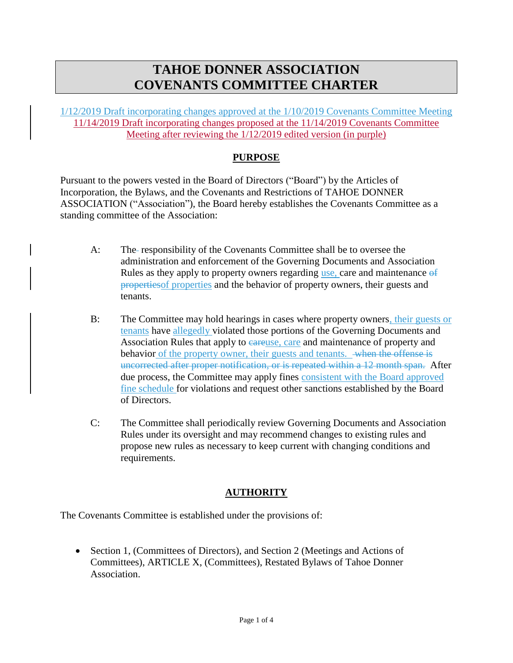# **TAHOE DONNER ASSOCIATION COVENANTS COMMITTEE CHARTER**

1/12/2019 Draft incorporating changes approved at the 1/10/2019 Covenants Committee Meeting 11/14/2019 Draft incorporating changes proposed at the 11/14/2019 Covenants Committee Meeting after reviewing the 1/12/2019 edited version (in purple)

## **PURPOSE**

Pursuant to the powers vested in the Board of Directors ("Board") by the Articles of Incorporation, the Bylaws, and the Covenants and Restrictions of TAHOE DONNER ASSOCIATION ("Association"), the Board hereby establishes the Covenants Committee as a standing committee of the Association:

- A: The responsibility of the Covenants Committee shall be to oversee the administration and enforcement of the Governing Documents and Association Rules as they apply to property owners regarding use, care and maintenance of propertiesof properties and the behavior of property owners, their guests and tenants.
- B: The Committee may hold hearings in cases where property owners, their guests or tenants have allegedly violated those portions of the Governing Documents and Association Rules that apply to eareuse, care and maintenance of property and behavior of the property owner, their guests and tenants. when the offense is uncorrected after proper notification, or is repeated within a 12 month span. After due process, the Committee may apply fines consistent with the Board approved fine schedule for violations and request other sanctions established by the Board of Directors.
- C: The Committee shall periodically review Governing Documents and Association Rules under its oversight and may recommend changes to existing rules and propose new rules as necessary to keep current with changing conditions and requirements.

#### **AUTHORITY**

The Covenants Committee is established under the provisions of:

• Section 1, (Committees of Directors), and Section 2 (Meetings and Actions of Committees), ARTICLE X, (Committees), Restated Bylaws of Tahoe Donner Association.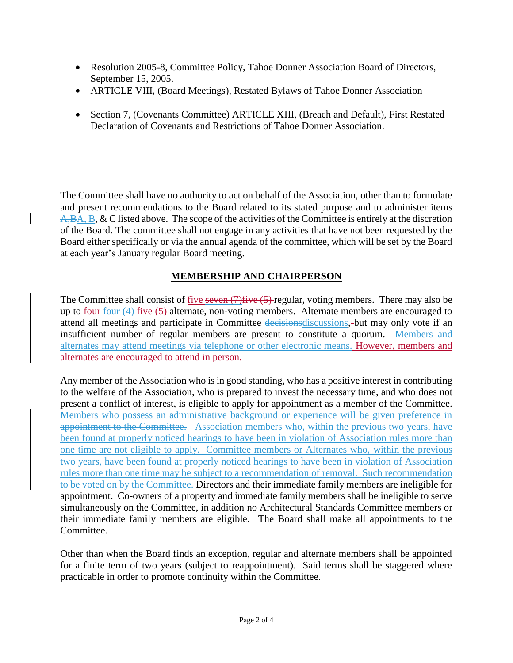- Resolution 2005-8, Committee Policy, Tahoe Donner Association Board of Directors, September 15, 2005.
- ARTICLE VIII, (Board Meetings), Restated Bylaws of Tahoe Donner Association
- Section 7, (Covenants Committee) ARTICLE XIII, (Breach and Default), First Restated Declaration of Covenants and Restrictions of Tahoe Donner Association.

The Committee shall have no authority to act on behalf of the Association, other than to formulate and present recommendations to the Board related to its stated purpose and to administer items A,BA, B, & C listed above. The scope of the activities of the Committee is entirely at the discretion of the Board. The committee shall not engage in any activities that have not been requested by the Board either specifically or via the annual agenda of the committee, which will be set by the Board at each year's January regular Board meeting.

# **MEMBERSHIP AND CHAIRPERSON**

The Committee shall consist of five seven (7) five (5) regular, voting members. There may also be up to four  $f_{\text{out}}(4)$  five  $(5)$ -alternate, non-voting members. Alternate members are encouraged to attend all meetings and participate in Committee decisionsdiscussions, but may only vote if an insufficient number of regular members are present to constitute a quorum. Members and alternates may attend meetings via telephone or other electronic means. However, members and alternates are encouraged to attend in person.

Any member of the Association who is in good standing, who has a positive interest in contributing to the welfare of the Association, who is prepared to invest the necessary time, and who does not present a conflict of interest, is eligible to apply for appointment as a member of the Committee. Members who possess an administrative background or experience will be given preference in appointment to the Committee. Association members who, within the previous two years, have been found at properly noticed hearings to have been in violation of Association rules more than one time are not eligible to apply. Committee members or Alternates who, within the previous two years, have been found at properly noticed hearings to have been in violation of Association rules more than one time may be subject to a recommendation of removal. Such recommendation to be voted on by the Committee. Directors and their immediate family members are ineligible for appointment. Co-owners of a property and immediate family members shall be ineligible to serve simultaneously on the Committee, in addition no Architectural Standards Committee members or their immediate family members are eligible. The Board shall make all appointments to the Committee.

Other than when the Board finds an exception, regular and alternate members shall be appointed for a finite term of two years (subject to reappointment). Said terms shall be staggered where practicable in order to promote continuity within the Committee.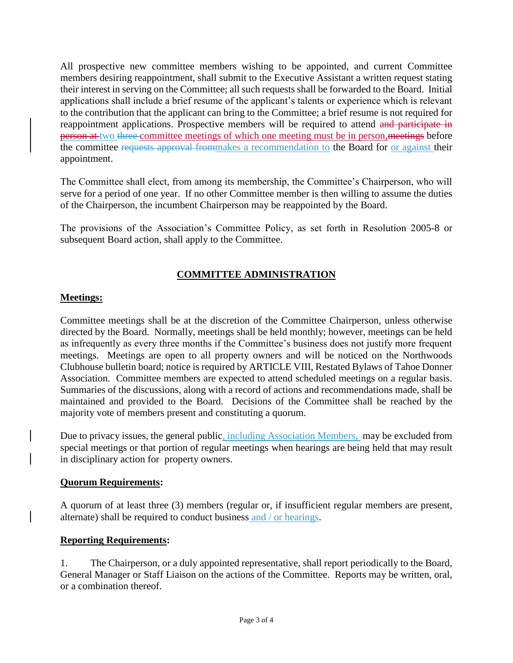All prospective new committee members wishing to be appointed, and current Committee members desiring reappointment, shall submit to the Executive Assistant a written request stating their interest in serving on the Committee; all such requests shall be forwarded to the Board. Initial applications shall include a brief resume of the applicant's talents or experience which is relevant to the contribution that the applicant can bring to the Committee; a brief resume is not required for reappointment applications. Prospective members will be required to attend and participate in person at two three committee meetings of which one meeting must be in person, meetings before the committee requests approval frommakes a recommendation to the Board for or against their appointment.

The Committee shall elect, from among its membership, the Committee's Chairperson, who will serve for a period of one year. If no other Committee member is then willing to assume the duties of the Chairperson, the incumbent Chairperson may be reappointed by the Board.

The provisions of the Association's Committee Policy, as set forth in Resolution 2005-8 or subsequent Board action, shall apply to the Committee.

# **COMMITTEE ADMINISTRATION**

### **Meetings:**

Committee meetings shall be at the discretion of the Committee Chairperson, unless otherwise directed by the Board. Normally, meetings shall be held monthly; however, meetings can be held as infrequently as every three months if the Committee's business does not justify more frequent meetings. Meetings are open to all property owners and will be noticed on the Northwoods Clubhouse bulletin board; notice is required by ARTICLE VIII, Restated Bylaws of Tahoe Donner Association. Committee members are expected to attend scheduled meetings on a regular basis. Summaries of the discussions, along with a record of actions and recommendations made, shall be maintained and provided to the Board. Decisions of the Committee shall be reached by the majority vote of members present and constituting a quorum.

Due to privacy issues, the general public, including Association Members, -may be excluded from special meetings or that portion of regular meetings when hearings are being held that may result in disciplinary action for-property owners.

#### **Quorum Requirements:**

A quorum of at least three (3) members (regular or, if insufficient regular members are present, alternate) shall be required to conduct business and / or hearings.

#### **Reporting Requirements:**

1. The Chairperson, or a duly appointed representative, shall report periodically to the Board, General Manager or Staff Liaison on the actions of the Committee. Reports may be written, oral, or a combination thereof.